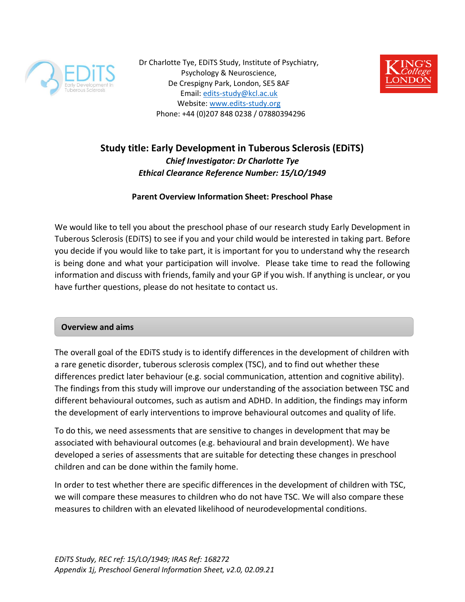

Dr Charlotte Tye, EDiTS Study, Institute of Psychiatry, Psychology & Neuroscience, De Crespigny Park, London, SE5 8AF Email: edits-study@kcl.ac.uk Website: www.edits-study.org Phone: +44 (0)207 848 0238 / 07880394296



**Study title: Early Development in Tuberous Sclerosis (EDiTS)** *Chief Investigator: Dr Charlotte Tye Ethical Clearance Reference Number: 15/LO/1949*

#### **Parent Overview Information Sheet: Preschool Phase**

We would like to tell you about the preschool phase of our research study Early Development in Tuberous Sclerosis (EDiTS) to see if you and your child would be interested in taking part. Before you decide if you would like to take part, it is important for you to understand why the research is being done and what your participation will involve. Please take time to read the following information and discuss with friends, family and your GP if you wish. If anything is unclear, or you have further questions, please do not hesitate to contact us.

## **Overview and aims Overview and aims**

The overall goal of the EDiTS study is to identify differences in the development of children with a rare genetic disorder, tuberous sclerosis complex (TSC), and to find out whether these differences predict later behaviour (e.g. social communication, attention and cognitive ability). The findings from this study will improve our understanding of the association between TSC and different behavioural outcomes, such as autism and ADHD. In addition, the findings may inform the development of early interventions to improve behavioural outcomes and quality of life.

To do this, we need assessments that are sensitive to changes in development that may be associated with behavioural outcomes (e.g. behavioural and brain development). We have developed a series of assessments that are suitable for detecting these changes in preschool children and can be done within the family home.

In order to test whether there are specific differences in the development of children with TSC, we will compare these measures to children who do not have TSC. We will also compare these measures to children with an elevated likelihood of neurodevelopmental conditions.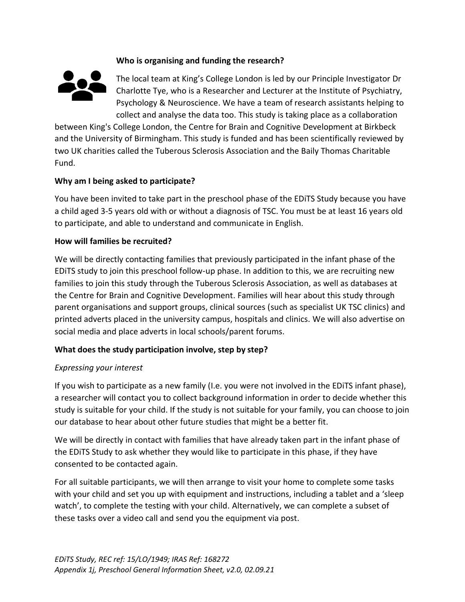#### **Who is organising and funding the research?**



The local team at King's College London is led by our Principle Investigator Dr Charlotte Tye, who is a Researcher and Lecturer at the Institute of Psychiatry, Psychology & Neuroscience. We have a team of research assistants helping to collect and analyse the data too. This study is taking place as a collaboration

between King's College London, the Centre for Brain and Cognitive Development at Birkbeck and the University of Birmingham. This study is funded and has been scientifically reviewed by two UK charities called the Tuberous Sclerosis Association and the Baily Thomas Charitable Fund.

#### **Why am I being asked to participate?**

You have been invited to take part in the preschool phase of the EDiTS Study because you have a child aged 3-5 years old with or without a diagnosis of TSC. You must be at least 16 years old to participate, and able to understand and communicate in English.

#### **How will families be recruited?**

We will be directly contacting families that previously participated in the infant phase of the EDiTS study to join this preschool follow-up phase. In addition to this, we are recruiting new families to join this study through the Tuberous Sclerosis Association, as well as databases at the Centre for Brain and Cognitive Development. Families will hear about this study through parent organisations and support groups, clinical sources (such as specialist UK TSC clinics) and printed adverts placed in the university campus, hospitals and clinics. We will also advertise on social media and place adverts in local schools/parent forums.

#### **What does the study participation involve, step by step?**

#### *Expressing your interest*

If you wish to participate as a new family (I.e. you were not involved in the EDiTS infant phase), a researcher will contact you to collect background information in order to decide whether this study is suitable for your child. If the study is not suitable for your family, you can choose to join our database to hear about other future studies that might be a better fit.

We will be directly in contact with families that have already taken part in the infant phase of the EDiTS Study to ask whether they would like to participate in this phase, if they have consented to be contacted again.

For all suitable participants, we will then arrange to visit your home to complete some tasks with your child and set you up with equipment and instructions, including a tablet and a 'sleep watch', to complete the testing with your child. Alternatively, we can complete a subset of these tasks over a video call and send you the equipment via post.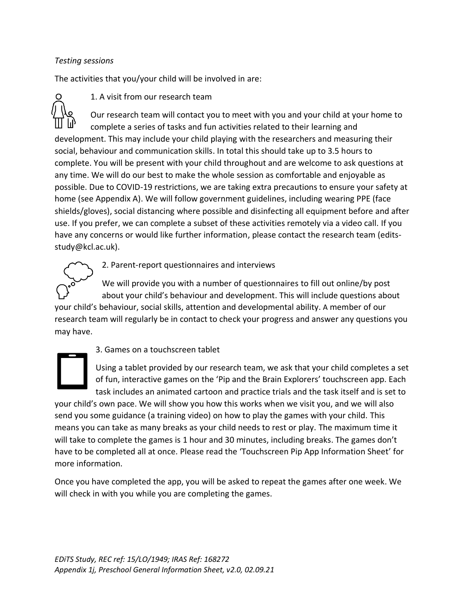### *Testing sessions*

The activities that you/your child will be involved in are:

1. A visit from our research team

Our research team will contact you to meet with you and your child at your home to complete a series of tasks and fun activities related to their learning and development. This may include your child playing with the researchers and measuring their social, behaviour and communication skills. In total this should take up to 3.5 hours to complete. You will be present with your child throughout and are welcome to ask questions at any time. We will do our best to make the whole session as comfortable and enjoyable as possible. Due to COVID-19 restrictions, we are taking extra precautions to ensure your safety at home (see Appendix A). We will follow government guidelines, including wearing PPE (face shields/gloves), social distancing where possible and disinfecting all equipment before and after use. If you prefer, we can complete a subset of these activities remotely via a video call. If you have any concerns or would like further information, please contact the research team (editsstudy@kcl.ac.uk).

2. Parent-report questionnaires and interviews

We will provide you with a number of questionnaires to fill out online/by post about your child's behaviour and development. This will include questions about your child's behaviour, social skills, attention and developmental ability. A member of our research team will regularly be in contact to check your progress and answer any questions you may have.

3. Games on a touchscreen tablet

Using a tablet provided by our research team, we ask that your child completes a set of fun, interactive games on the 'Pip and the Brain Explorers' touchscreen app. Each task includes an animated cartoon and practice trials and the task itself and is set to

your child's own pace. We will show you how this works when we visit you, and we will also send you some guidance (a training video) on how to play the games with your child. This means you can take as many breaks as your child needs to rest or play. The maximum time it will take to complete the games is 1 hour and 30 minutes, including breaks. The games don't have to be completed all at once. Please read the 'Touchscreen Pip App Information Sheet' for more information.

Once you have completed the app, you will be asked to repeat the games after one week. We will check in with you while you are completing the games.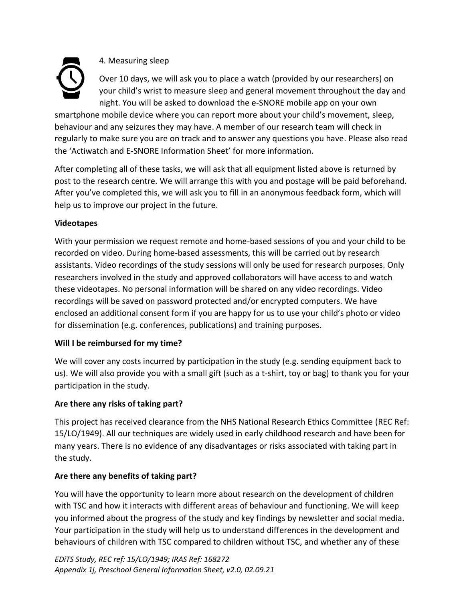

4. Measuring sleep

Over 10 days, we will ask you to place a watch (provided by our researchers) on your child's wrist to measure sleep and general movement throughout the day and night. You will be asked to download the e-SNORE mobile app on your own

smartphone mobile device where you can report more about your child's movement, sleep, behaviour and any seizures they may have. A member of our research team will check in regularly to make sure you are on track and to answer any questions you have. Please also read the 'Actiwatch and E-SNORE Information Sheet' for more information.

After completing all of these tasks, we will ask that all equipment listed above is returned by post to the research centre. We will arrange this with you and postage will be paid beforehand. After you've completed this, we will ask you to fill in an anonymous feedback form, which will help us to improve our project in the future.

### **Videotapes**

With your permission we request remote and home-based sessions of you and your child to be recorded on video. During home-based assessments, this will be carried out by research assistants. Video recordings of the study sessions will only be used for research purposes. Only researchers involved in the study and approved collaborators will have access to and watch these videotapes. No personal information will be shared on any video recordings. Video recordings will be saved on password protected and/or encrypted computers. We have enclosed an additional consent form if you are happy for us to use your child's photo or video for dissemination (e.g. conferences, publications) and training purposes.

#### **Will I be reimbursed for my time?**

We will cover any costs incurred by participation in the study (e.g. sending equipment back to us). We will also provide you with a small gift (such as a t-shirt, toy or bag) to thank you for your participation in the study.

## **Are there any risks of taking part?**

This project has received clearance from the NHS National Research Ethics Committee (REC Ref: 15/LO/1949). All our techniques are widely used in early childhood research and have been for many years. There is no evidence of any disadvantages or risks associated with taking part in the study.

## **Are there any benefits of taking part?**

You will have the opportunity to learn more about research on the development of children with TSC and how it interacts with different areas of behaviour and functioning. We will keep you informed about the progress of the study and key findings by newsletter and social media. Your participation in the study will help us to understand differences in the development and behaviours of children with TSC compared to children without TSC, and whether any of these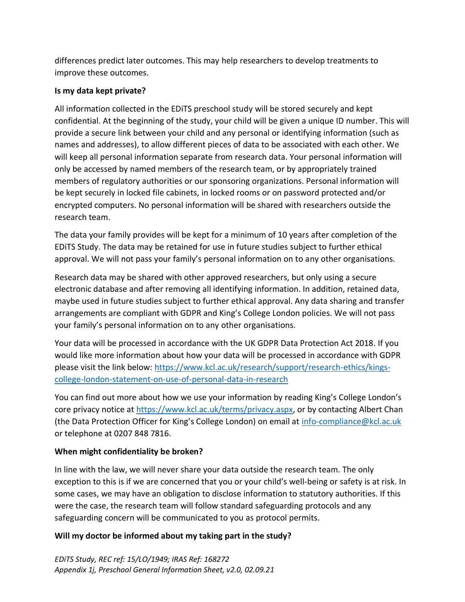differences predict later outcomes. This may help researchers to develop treatments to improve these outcomes.

#### **Is my data kept private?**

All information collected in the EDiTS preschool study will be stored securely and kept confidential. At the beginning of the study, your child will be given a unique ID number. This will provide a secure link between your child and any personal or identifying information (such as names and addresses), to allow different pieces of data to be associated with each other. We will keep all personal information separate from research data. Your personal information will only be accessed by named members of the research team, or by appropriately trained members of regulatory authorities or our sponsoring organizations. Personal information will be kept securely in locked file cabinets, in locked rooms or on password protected and/or encrypted computers. No personal information will be shared with researchers outside the research team.

The data your family provides will be kept for a minimum of 10 years after completion of the EDiTS Study. The data may be retained for use in future studies subject to further ethical approval. We will not pass your family's personal information on to any other organisations.

Research data may be shared with other approved researchers, but only using a secure electronic database and after removing all identifying information. In addition, retained data, maybe used in future studies subject to further ethical approval. Any data sharing and transfer arrangements are compliant with GDPR and King's College London policies. We will not pass your family's personal information on to any other organisations.

Your data will be processed in accordance with the UK GDPR Data Protection Act 2018. If you would like more information about how your data will be processed in accordance with GDPR please visit the link below: [https://www.kcl.ac.uk/research/support/research-ethics/kings](https://www.kcl.ac.uk/research/support/research-ethics/kings-college-london-statement-on-use-of-personal-data-in-research)[college-london-statement-on-use-of-personal-data-in-research](https://www.kcl.ac.uk/research/support/research-ethics/kings-college-london-statement-on-use-of-personal-data-in-research)

You can find out more about how we use your information by reading King's College London's core privacy notice at [https://www.kcl.ac.uk/terms/privacy.aspx,](https://www.kcl.ac.uk/terms/privacy.aspx) or by contacting Albert Chan (the Data Protection Officer for King's College London) on email at [info-compliance@kcl.ac.uk](mailto:info-compliance@kcl.ac.uk) or telephone at 0207 848 7816.

## **When might confidentiality be broken?**

In line with the law, we will never share your data outside the research team. The only exception to this is if we are concerned that you or your child's well-being or safety is at risk. In some cases, we may have an obligation to disclose information to statutory authorities. If this were the case, the research team will follow standard safeguarding protocols and any safeguarding concern will be communicated to you as protocol permits.

## **Will my doctor be informed about my taking part in the study?**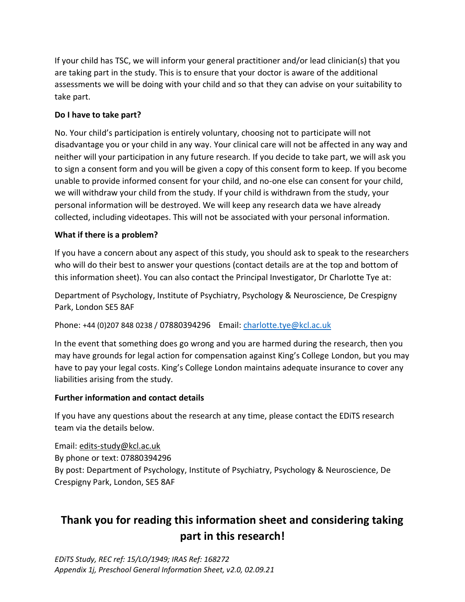If your child has TSC, we will inform your general practitioner and/or lead clinician(s) that you are taking part in the study. This is to ensure that your doctor is aware of the additional assessments we will be doing with your child and so that they can advise on your suitability to take part.

## **Do I have to take part?**

No. Your child's participation is entirely voluntary, choosing not to participate will not disadvantage you or your child in any way. Your clinical care will not be affected in any way and neither will your participation in any future research. If you decide to take part, we will ask you to sign a consent form and you will be given a copy of this consent form to keep. If you become unable to provide informed consent for your child, and no-one else can consent for your child, we will withdraw your child from the study. If your child is withdrawn from the study, your personal information will be destroyed. We will keep any research data we have already collected, including videotapes. This will not be associated with your personal information.

## **What if there is a problem?**

If you have a concern about any aspect of this study, you should ask to speak to the researchers who will do their best to answer your questions (contact details are at the top and bottom of this information sheet). You can also contact the Principal Investigator, Dr Charlotte Tye at:

Department of Psychology, Institute of Psychiatry, Psychology & Neuroscience, De Crespigny Park, London SE5 8AF

Phone: +44 (0)207 848 0238 / 07880394296 Email: [charlotte.tye@kcl.ac.uk](mailto:charlotte.tye@kcl.ac.uk)

In the event that something does go wrong and you are harmed during the research, then you may have grounds for legal action for compensation against King's College London, but you may have to pay your legal costs. King's College London maintains adequate insurance to cover any liabilities arising from the study.

## **Further information and contact details**

If you have any questions about the research at any time, please contact the EDiTS research team via the details below.

Email: [edits-study@kcl.ac.uk](mailto:edits-study@kcl.ac.uk) By phone or text: 07880394296 By post: Department of Psychology, Institute of Psychiatry, Psychology & Neuroscience, De Crespigny Park, London, SE5 8AF

# **Thank you for reading this information sheet and considering taking part in this research!**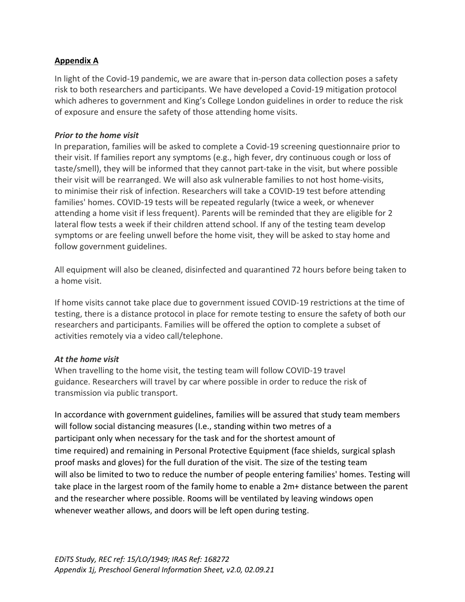#### **Appendix A**

In light of the Covid-19 pandemic, we are aware that in-person data collection poses a safety risk to both researchers and participants. We have developed a Covid-19 mitigation protocol which adheres to government and King's College London guidelines in order to reduce the risk of exposure and ensure the safety of those attending home visits.

#### *Prior to the home visit*

In preparation, families will be asked to complete a Covid-19 screening questionnaire prior to their visit. If families report any symptoms (e.g., high fever, dry continuous cough or loss of taste/smell), they will be informed that they cannot part-take in the visit, but where possible their visit will be rearranged. We will also ask vulnerable families to not host home-visits, to minimise their risk of infection. Researchers will take a COVID-19 test before attending families' homes. COVID-19 tests will be repeated regularly (twice a week, or whenever attending a home visit if less frequent). Parents will be reminded that they are eligible for 2 lateral flow tests a week if their children attend school. If any of the testing team develop symptoms or are feeling unwell before the home visit, they will be asked to stay home and follow government guidelines.

All equipment will also be cleaned, disinfected and quarantined 72 hours before being taken to a home visit.

If home visits cannot take place due to government issued COVID-19 restrictions at the time of testing, there is a distance protocol in place for remote testing to ensure the safety of both our researchers and participants. Families will be offered the option to complete a subset of activities remotely via a video call/telephone.

#### *At the home visit*

When travelling to the home visit, the testing team will follow COVID-19 travel guidance. Researchers will travel by car where possible in order to reduce the risk of transmission via public transport.

In accordance with government guidelines, families will be assured that study team members will follow social distancing measures (I.e., standing within two metres of a participant only when necessary for the task and for the shortest amount of time required) and remaining in Personal Protective Equipment (face shields, surgical splash proof masks and gloves) for the full duration of the visit. The size of the testing team will also be limited to two to reduce the number of people entering families' homes. Testing will take place in the largest room of the family home to enable a 2m+ distance between the parent and the researcher where possible. Rooms will be ventilated by leaving windows open whenever weather allows, and doors will be left open during testing.